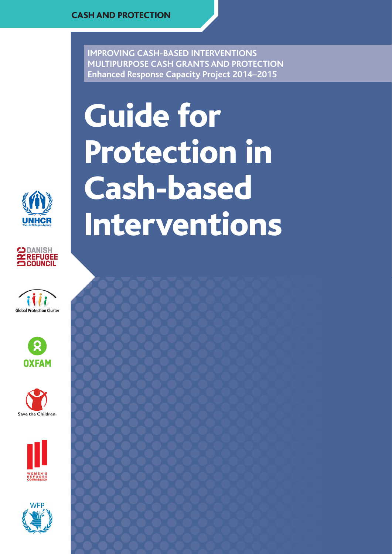**IMPROVING CASH-BASED INTERVENTIONS MULTIPURPOSE CASH GRANTS AND PROTECTION Enhanced Response Capacity Project 2014–2015**















# Guide for Protection in Cash-based Interventions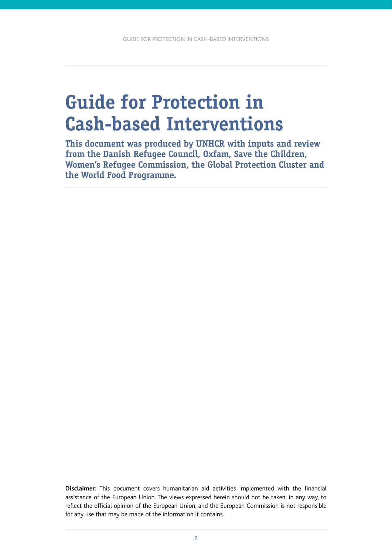# **Guide for Protection in Cash-based Interventions**

**This document was produced by UNHCR with inputs and review from the Danish Refugee Council, Oxfam, Save the Children, Women's Refugee Commission, the Global Protection Cluster and the World Food Programme.**

**Disclaimer:** This document covers humanitarian aid activities implemented with the financial assistance of the European Union. The views expressed herein should not be taken, in any way, to reflect the official opinion of the European Union, and the European Commission is not responsible for any use that may be made of the information it contains.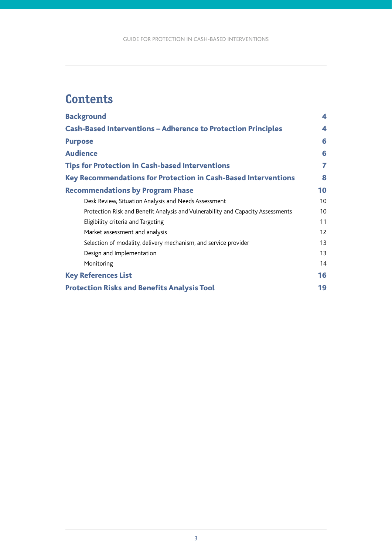# <span id="page-2-0"></span>**Contents**

| <b>Background</b>                                                               | 4  |
|---------------------------------------------------------------------------------|----|
| <b>Cash-Based Interventions - Adherence to Protection Principles</b>            | 4  |
| <b>Purpose</b>                                                                  | 6  |
| <b>Audience</b>                                                                 | 6  |
| <b>Tips for Protection in Cash-based Interventions</b>                          | 7  |
| Key Recommendations for Protection in Cash-Based Interventions                  | 8  |
| <b>Recommendations by Program Phase</b>                                         | 10 |
| Desk Review, Situation Analysis and Needs Assessment                            | 10 |
| Protection Risk and Benefit Analysis and Vulnerability and Capacity Assessments | 10 |
| Eligibility criteria and Targeting                                              | 11 |
| Market assessment and analysis                                                  | 12 |
| Selection of modality, delivery mechanism, and service provider                 | 13 |
| Design and Implementation                                                       | 13 |
| Monitoring                                                                      | 14 |
| <b>Key References List</b>                                                      | 16 |
| <b>Protection Risks and Benefits Analysis Tool</b>                              | 19 |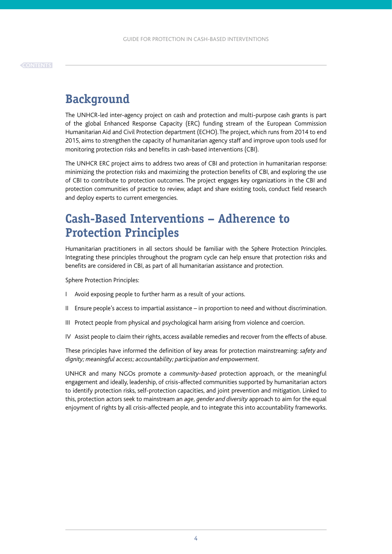# <span id="page-3-0"></span>**Background**

The UNHCR-led inter-agency project on cash and protection and multi-purpose cash grants is part of the global Enhanced Response Capacity (ERC) funding stream of the European Commission Humanitarian Aid and Civil Protection department (ECHO). The project, which runs from 2014 to end 2015, aims to strengthen the capacity of humanitarian agency staff and improve upon tools used for monitoring protection risks and benefits in cash-based interventions (CBI).

The UNHCR ERC project aims to address two areas of CBI and protection in humanitarian response: minimizing the protection risks and maximizing the protection benefits of CBI, and exploring the use of CBI to contribute to protection outcomes. The project engages key organizations in the CBI and protection communities of practice to review, adapt and share existing tools, conduct field research and deploy experts to current emergencies.

# **Cash-Based Interventions – Adherence to Protection Principles**

Humanitarian practitioners in all sectors should be familiar with the Sphere Protection Principles. Integrating these principles throughout the program cycle can help ensure that protection risks and benefits are considered in CBI, as part of all humanitarian assistance and protection.

Sphere Protection Principles:

- I Avoid exposing people to further harm as a result of your actions.
- II Ensure people's access to impartial assistance in proportion to need and without discrimination.
- III Protect people from physical and psychological harm arising from violence and coercion.
- IV Assist people to claim their rights, access available remedies and recover from the effects of abuse.

These principles have informed the definition of key areas for protection mainstreaming: *safety and dignity; meaningful access; accountability; participation and empowerment*.

UNHCR and many NGOs promote a *community-based* protection approach, or the meaningful engagement and ideally, leadership, of crisis-affected communities supported by humanitarian actors to identify protection risks, self-protection capacities, and joint prevention and mitigation. Linked to this, protection actors seek to mainstream an *age, gender and diversity* approach to aim for the equal enjoyment of rights by all crisis-affected people, and to integrate this into accountability frameworks.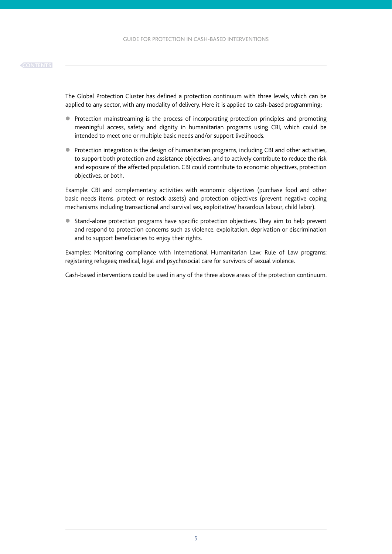The Global Protection Cluster has defined a protection continuum with three levels, which can be applied to any sector, with any modality of delivery. Here it is applied to cash-based programming:

- Protection mainstreaming is the process of incorporating protection principles and promoting meaningful access, safety and dignity in humanitarian programs using CBI, which could be intended to meet one or multiple basic needs and/or support livelihoods.
- **•** Protection integration is the design of humanitarian programs, including CBI and other activities, to support both protection and assistance objectives, and to actively contribute to reduce the risk and exposure of the affected population. CBI could contribute to economic objectives, protection objectives, or both.

Example: CBI and complementary activities with economic objectives (purchase food and other basic needs items, protect or restock assets) and protection objectives (prevent negative coping mechanisms including transactional and survival sex, exploitative/ hazardous labour, child labor).

• Stand-alone protection programs have specific protection objectives. They aim to help prevent and respond to protection concerns such as violence, exploitation, deprivation or discrimination and to support beneficiaries to enjoy their rights.

Examples: Monitoring compliance with International Humanitarian Law; Rule of Law programs; registering refugees; medical, legal and psychosocial care for survivors of sexual violence.

Cash-based interventions could be used in any of the three above areas of the protection continuum.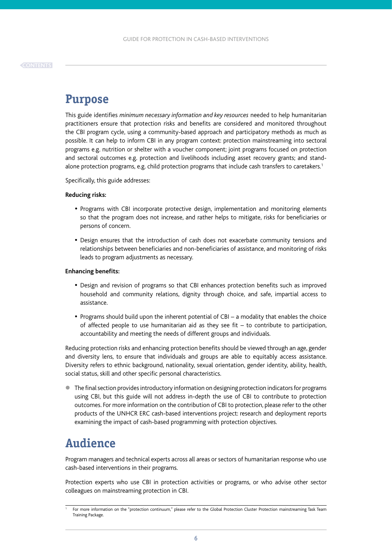# <span id="page-5-0"></span>**Purpose**

This guide identifies *minimum necessary information and key resources* needed to help humanitarian practitioners ensure that protection risks and benefits are considered and monitored throughout the CBI program cycle, using a community-based approach and participatory methods as much as possible. It can help to inform CBI in any program context: protection mainstreaming into sectoral programs e.g. nutrition or shelter with a voucher component; joint programs focused on protection and sectoral outcomes e.g. protection and livelihoods including asset recovery grants; and standalone protection programs, e.g. child protection programs that include cash transfers to caretakers.1

Specifically, this guide addresses:

#### **Reducing risks:**

- Programs with CBI incorporate protective design, implementation and monitoring elements so that the program does not increase, and rather helps to mitigate, risks for beneficiaries or persons of concern.
- Design ensures that the introduction of cash does not exacerbate community tensions and relationships between beneficiaries and non-beneficiaries of assistance, and monitoring of risks leads to program adjustments as necessary.

#### **Enhancing benefits:**

- Design and revision of programs so that CBI enhances protection benefits such as improved household and community relations, dignity through choice, and safe, impartial access to assistance.
- Programs should build upon the inherent potential of CBI a modality that enables the choice of affected people to use humanitarian aid as they see fit – to contribute to participation, accountability and meeting the needs of different groups and individuals.

Reducing protection risks and enhancing protection benefits should be viewed through an age, gender and diversity lens, to ensure that individuals and groups are able to equitably access assistance. Diversity refers to ethnic background, nationality, sexual orientation, gender identity, ability, health, social status, skill and other specific personal characteristics.

 $\bullet$  The final section provides introductory information on designing protection indicators for programs using CBI, but this guide will not address in-depth the use of CBI to contribute to protection outcomes. For more information on the contribution of CBI to protection, please refer to the other products of the UNHCR ERC cash-based interventions project: research and deployment reports examining the impact of cash-based programming with protection objectives.

# **Audience**

Program managers and technical experts across all areas or sectors of humanitarian response who use cash-based interventions in their programs.

Protection experts who use CBI in protection activities or programs, or who advise other sector colleagues on mainstreaming protection in CBI.

<sup>1</sup> For more information on the "protection continuum," please refer to the Global Protection Cluster Protection mainstreaming Task Team Training Package.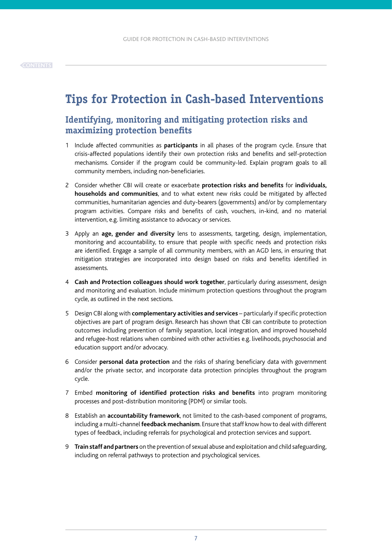# <span id="page-6-0"></span>**Tips for Protection in Cash-based Interventions**

## **Identifying, monitoring and mitigating protection risks and maximizing protection benefits**

- 1 Include affected communities as **participants** in all phases of the program cycle. Ensure that crisis-affected populations identify their own protection risks and benefits and self-protection mechanisms. Consider if the program could be community-led. Explain program goals to all community members, including non-beneficiaries.
- 2 Consider whether CBI will create or exacerbate **protection risks and benefits** for **individuals, households and communities**, and to what extent new risks could be mitigated by affected communities, humanitarian agencies and duty-bearers (governments) and/or by complementary program activities. Compare risks and benefits of cash, vouchers, in-kind, and no material intervention, e.g. limiting assistance to advocacy or services.
- 3 Apply an **age, gender and diversity** lens to assessments, targeting, design, implementation, monitoring and accountability, to ensure that people with specific needs and protection risks are identified. Engage a sample of all community members, with an AGD lens, in ensuring that mitigation strategies are incorporated into design based on risks and benefits identified in assessments.
- 4 **Cash and Protection colleagues should work together**, particularly during assessment, design and monitoring and evaluation. Include minimum protection questions throughout the program cycle, as outlined in the next sections.
- 5 Design CBI along with **complementary activities and services** particularly if specific protection objectives are part of program design. Research has shown that CBI can contribute to protection outcomes including prevention of family separation, local integration, and improved household and refugee-host relations when combined with other activities e.g. livelihoods, psychosocial and education support and/or advocacy.
- 6 Consider **personal data protection** and the risks of sharing beneficiary data with government and/or the private sector, and incorporate data protection principles throughout the program cycle.
- 7 Embed **monitoring of identified protection risks and benefits** into program monitoring processes and post-distribution monitoring (PDM) or similar tools.
- 8 Establish an **accountability framework**, not limited to the cash-based component of programs, including a multi-channel **feedback mechanism**. Ensure that staff know how to deal with different types of feedback, including referrals for psychological and protection services and support.
- 9 **Train staff and partners** on the prevention of sexual abuse and exploitation and child safeguarding, including on referral pathways to protection and psychological services.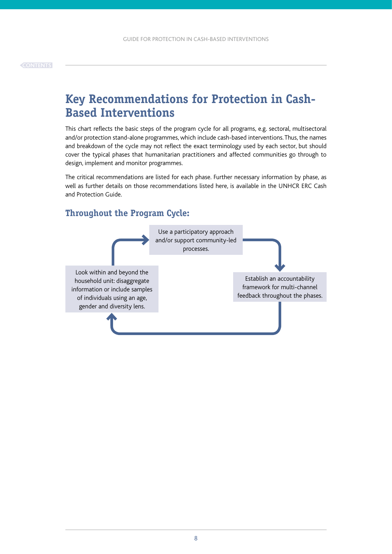# <span id="page-7-0"></span>**Key Recommendations for Protection in Cash-Based Interventions**

This chart reflects the basic steps of the program cycle for all programs, e.g. sectoral, multisectoral and/or protection stand-alone programmes, which include cash-based interventions. Thus, the names and breakdown of the cycle may not reflect the exact terminology used by each sector, but should cover the typical phases that humanitarian practitioners and affected communities go through to design, implement and monitor programmes.

The critical recommendations are listed for each phase. Further necessary information by phase, as well as further details on those recommendations listed here, is available in the UNHCR ERC Cash and Protection Guide.

### **Throughout the Program Cycle:**

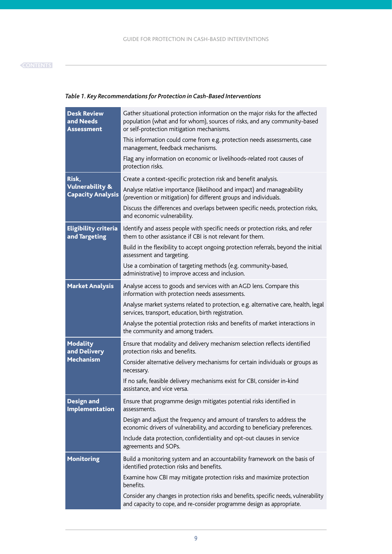| <b>Desk Review</b><br>and Needs<br><b>Assessment</b>   | Gather situational protection information on the major risks for the affected<br>population (what and for whom), sources of risks, and any community-based<br>or self-protection mitigation mechanisms. |
|--------------------------------------------------------|---------------------------------------------------------------------------------------------------------------------------------------------------------------------------------------------------------|
|                                                        | This information could come from e.g. protection needs assessments, case<br>management, feedback mechanisms.                                                                                            |
|                                                        | Flag any information on economic or livelihoods-related root causes of<br>protection risks.                                                                                                             |
| Risk,                                                  | Create a context-specific protection risk and benefit analysis.                                                                                                                                         |
| <b>Vulnerability &amp;</b><br><b>Capacity Analysis</b> | Analyse relative importance (likelihood and impact) and manageability<br>(prevention or mitigation) for different groups and individuals.                                                               |
|                                                        | Discuss the differences and overlaps between specific needs, protection risks,<br>and economic vulnerability.                                                                                           |
| <b>Eligibility criteria</b><br>and Targeting           | Identify and assess people with specific needs or protection risks, and refer<br>them to other assistance if CBI is not relevant for them.                                                              |
|                                                        | Build in the flexibility to accept ongoing protection referrals, beyond the initial<br>assessment and targeting.                                                                                        |
|                                                        | Use a combination of targeting methods (e.g. community-based,<br>administrative) to improve access and inclusion.                                                                                       |
| <b>Market Analysis</b>                                 | Analyse access to goods and services with an AGD lens. Compare this<br>information with protection needs assessments.                                                                                   |
|                                                        | Analyse market systems related to protection, e.g. alternative care, health, legal<br>services, transport, education, birth registration.                                                               |
|                                                        | Analyse the potential protection risks and benefits of market interactions in<br>the community and among traders.                                                                                       |
| <b>Modality</b><br>and Delivery                        | Ensure that modality and delivery mechanism selection reflects identified<br>protection risks and benefits.                                                                                             |
| <b>Mechanism</b>                                       | Consider alternative delivery mechanisms for certain individuals or groups as<br>necessary.                                                                                                             |
|                                                        | If no safe, feasible delivery mechanisms exist for CBI, consider in-kind<br>assistance, and vice versa.                                                                                                 |
| <b>Design and</b><br>Implementation                    | Ensure that programme design mitigates potential risks identified in<br>assessments.                                                                                                                    |
|                                                        | Design and adjust the frequency and amount of transfers to address the<br>economic drivers of vulnerability, and according to beneficiary preferences.                                                  |
|                                                        | Include data protection, confidentiality and opt-out clauses in service<br>agreements and SOPs.                                                                                                         |
| <b>Monitoring</b>                                      | Build a monitoring system and an accountability framework on the basis of<br>identified protection risks and benefits.                                                                                  |
|                                                        | Examine how CBI may mitigate protection risks and maximize protection<br>benefits.                                                                                                                      |
|                                                        | Consider any changes in protection risks and benefits, specific needs, vulnerability<br>and capacity to cope, and re-consider programme design as appropriate.                                          |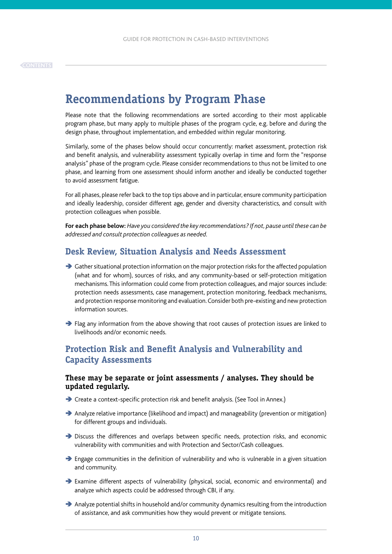# <span id="page-9-0"></span>**Recommendations by Program Phase**

Please note that the following recommendations are sorted according to their most applicable program phase, but many apply to multiple phases of the program cycle, e.g. before and during the design phase, throughout implementation, and embedded within regular monitoring.

Similarly, some of the phases below should occur concurrently: market assessment, protection risk and benefit analysis, and vulnerability assessment typically overlap in time and form the "response analysis" phase of the program cycle. Please consider recommendations to thus not be limited to one phase, and learning from one assessment should inform another and ideally be conducted together to avoid assessment fatigue.

For all phases, please refer back to the top tips above and in particular, ensure community participation and ideally leadership, consider different age, gender and diversity characteristics, and consult with protection colleagues when possible.

**For each phase below:** *Have you considered the key recommendations? If not, pause until these can be addressed and consult protection colleagues as needed.*

### **Desk Review, Situation Analysis and Needs Assessment**

- $\rightarrow$  Gather situational protection information on the major protection risks for the affected population (what and for whom), sources of risks, and any community-based or self-protection mitigation mechanisms. This information could come from protection colleagues, and major sources include: protection needs assessments, case management, protection monitoring, feedback mechanisms, and protection response monitoring and evaluation. Consider both pre-existing and new protection information sources.
- Ä Flag any information from the above showing that root causes of protection issues are linked to livelihoods and/or economic needs.

### **Protection Risk and Benefit Analysis and Vulnerability and Capacity Assessments**

#### **These may be separate or joint assessments / analyses. They should be updated regularly.**

- Ä Create a context-specific protection risk and benefit analysis. (See Tool in Annex.)
- Ä Analyze relative importance (likelihood and impact) and manageability (prevention or mitigation) for different groups and individuals.
- Ä Discuss the differences and overlaps between specific needs, protection risks, and economic vulnerability with communities and with Protection and Sector/Cash colleagues.
- $\rightarrow$  Engage communities in the definition of vulnerability and who is vulnerable in a given situation and community.
- Ä Examine different aspects of vulnerability (physical, social, economic and environmental) and analyze which aspects could be addressed through CBI, if any.
- $\rightarrow$  Analyze potential shifts in household and/or community dynamics resulting from the introduction of assistance, and ask communities how they would prevent or mitigate tensions.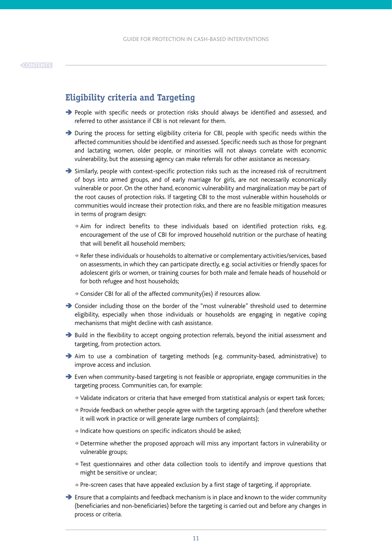### <span id="page-10-0"></span>**Eligibility criteria and Targeting**

- Ä People with specific needs or protection risks should always be identified and assessed, and referred to other assistance if CBI is not relevant for them.
- Ä During the process for setting eligibility criteria for CBI, people with specific needs within the affected communities should be identified and assessed. Specific needs such as those for pregnant and lactating women, older people, or minorities will not always correlate with economic vulnerability, but the assessing agency can make referrals for other assistance as necessary.
- $\rightarrow$  Similarly, people with context-specific protection risks such as the increased risk of recruitment of boys into armed groups, and of early marriage for girls, are not necessarily economically vulnerable or poor. On the other hand, economic vulnerability and marginalization may be part of the root causes of protection risks. If targeting CBI to the most vulnerable within households or communities would increase their protection risks, and there are no feasible mitigation measures in terms of program design:
	- <sup>Ä</sup> Aim for indirect benefits to these individuals based on identified protection risks, e.g. encouragement of the use of CBI for improved household nutrition or the purchase of heating that will benefit all household members;
	- <sup>Ä</sup> Refer these individuals or households to alternative or complementary activities/services, based on assessments, in which they can participate directly, e.g. social activities or friendly spaces for adolescent girls or women, or training courses for both male and female heads of household or for both refugee and host households;
	- $\rightarrow$  Consider CBI for all of the affected community(ies) if resources allow.
- Ä Consider including those on the border of the "most vulnerable" threshold used to determine eligibility, especially when those individuals or households are engaging in negative coping mechanisms that might decline with cash assistance.
- $\rightarrow$  Build in the flexibility to accept ongoing protection referrals, beyond the initial assessment and targeting, from protection actors.
- Ä Aim to use a combination of targeting methods (e.g. community-based, administrative) to improve access and inclusion.
- Ä Even when community-based targeting is not feasible or appropriate, engage communities in the targeting process. Communities can, for example:
	- <sup>Ä</sup> Validate indicators or criteria that have emerged from statistical analysis or expert task forces;
	- <sup>Ä</sup> Provide feedback on whether people agree with the targeting approach (and therefore whether it will work in practice or will generate large numbers of complaints);
	- $\rightarrow$  Indicate how questions on specific indicators should be asked;
	- <sup>Ä</sup> Determine whether the proposed approach will miss any important factors in vulnerability or vulnerable groups;
	- <sup>Ä</sup> Test questionnaires and other data collection tools to identify and improve questions that might be sensitive or unclear;
	- <sup>Ä</sup> Pre-screen cases that have appealed exclusion by a first stage of targeting, if appropriate.
- $\rightarrow$  Ensure that a complaints and feedback mechanism is in place and known to the wider community (beneficiaries and non-beneficiaries) before the targeting is carried out and before any changes in process or criteria.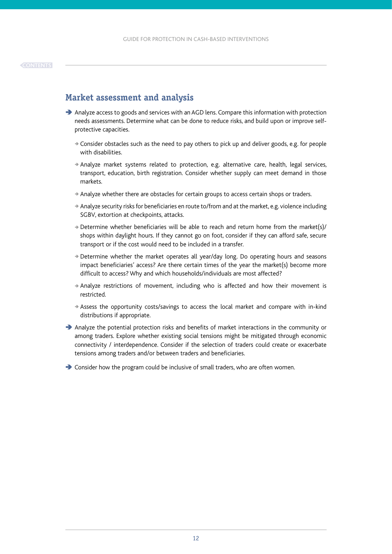### <span id="page-11-0"></span>**Market assessment and analysis**

- Ä Analyze access to goods and services with an AGD lens. Compare this information with protection needs assessments. Determine what can be done to reduce risks, and build upon or improve selfprotective capacities.
	- $\geq$  Consider obstacles such as the need to pay others to pick up and deliver goods, e.g. for people with disabilities.
	- <sup>Ä</sup> Analyze market systems related to protection, e.g. alternative care, health, legal services, transport, education, birth registration. Consider whether supply can meet demand in those markets.
	- <sup>Ä</sup> Analyze whether there are obstacles for certain groups to access certain shops or traders.
	- <sup>Ä</sup> Analyze security risks for beneficiaries en route to/from and at the market, e.g. violence including SGBV, extortion at checkpoints, attacks.
	- $\rightarrow$  Determine whether beneficiaries will be able to reach and return home from the market(s)/ shops within daylight hours. If they cannot go on foot, consider if they can afford safe, secure transport or if the cost would need to be included in a transfer.
	- $\rightarrow$  Determine whether the market operates all year/day long. Do operating hours and seasons impact beneficiaries' access? Are there certain times of the year the market(s) become more difficult to access? Why and which households/individuals are most affected?
	- $\rightarrow$  Analyze restrictions of movement, including who is affected and how their movement is restricted.
	- <sup>Ä</sup> Assess the opportunity costs/savings to access the local market and compare with in-kind distributions if appropriate.
- Ä Analyze the potential protection risks and benefits of market interactions in the community or among traders. Explore whether existing social tensions might be mitigated through economic connectivity / interdependence. Consider if the selection of traders could create or exacerbate tensions among traders and/or between traders and beneficiaries.
- $\rightarrow$  Consider how the program could be inclusive of small traders, who are often women.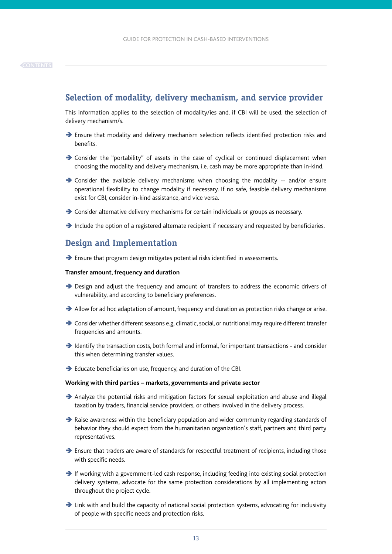### <span id="page-12-0"></span>**Selection of modality, delivery mechanism, and service provider**

This information applies to the selection of modality/ies and, if CBI will be used, the selection of delivery mechanism/s.

- $\rightarrow$  Ensure that modality and delivery mechanism selection reflects identified protection risks and benefits.
- Ä Consider the "portability" of assets in the case of cyclical or continued displacement when choosing the modality and delivery mechanism, i.e. cash may be more appropriate than in-kind.
- $\rightarrow$  Consider the available delivery mechanisms when choosing the modality -- and/or ensure operational flexibility to change modality if necessary. If no safe, feasible delivery mechanisms exist for CBI, consider in-kind assistance, and vice versa.
- Ä Consider alternative delivery mechanisms for certain individuals or groups as necessary.
- $\rightarrow$  Include the option of a registered alternate recipient if necessary and requested by beneficiaries.

### **Design and Implementation**

Ä Ensure that program design mitigates potential risks identified in assessments.

#### **Transfer amount, frequency and duration**

- Ä Design and adjust the frequency and amount of transfers to address the economic drivers of vulnerability, and according to beneficiary preferences.
- $\rightarrow$  Allow for ad hoc adaptation of amount, frequency and duration as protection risks change or arise.
- Ä Consider whether different seasons e.g. climatic, social, or nutritional may require different transfer frequencies and amounts.
- $\rightarrow$  Identify the transaction costs, both formal and informal, for important transactions and consider this when determining transfer values.
- Ä Educate beneficiaries on use, frequency, and duration of the CBI.

#### **Working with third parties – markets, governments and private sector**

- Ä Analyze the potential risks and mitigation factors for sexual exploitation and abuse and illegal taxation by traders, financial service providers, or others involved in the delivery process.
- $\rightarrow$  Raise awareness within the beneficiary population and wider community regarding standards of behavior they should expect from the humanitarian organization's staff, partners and third party representatives.
- $\rightarrow$  Ensure that traders are aware of standards for respectful treatment of recipients, including those with specific needs.
- $\rightarrow$  If working with a government-led cash response, including feeding into existing social protection delivery systems, advocate for the same protection considerations by all implementing actors throughout the project cycle.
- $\rightarrow$  Link with and build the capacity of national social protection systems, advocating for inclusivity of people with specific needs and protection risks.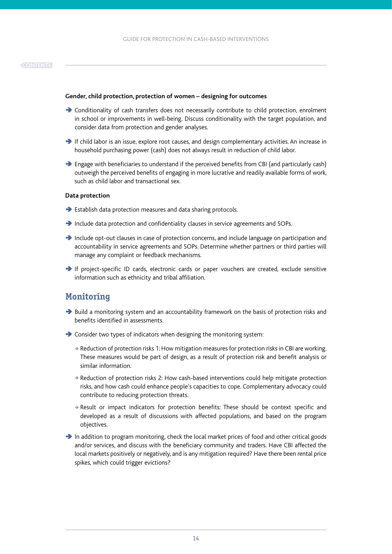#### <span id="page-13-0"></span>**Gender, child protection, protection of women – designing for outcomes**

- $\rightarrow$  Conditionality of cash transfers does not necessarily contribute to child protection, enrolment in school or improvements in well-being. Discuss conditionality with the target population, and consider data from protection and gender analyses.
- Ä If child labor is an issue, explore root causes, and design complementary activities. An increase in household purchasing power (cash) does not always result in reduction of child labor.
- $\rightarrow$  Engage with beneficiaries to understand if the perceived benefits from CBI (and particularly cash) outweigh the perceived benefits of engaging in more lucrative and readily available forms of work, such as child labor and transactional sex.

#### **Data protection**

- $\rightarrow$  Establish data protection measures and data sharing protocols.
- $\rightarrow$  Include data protection and confidentiality clauses in service agreements and SOPs.
- Ä Include opt-out clauses in case of protection concerns, and include language on participation and accountability in service agreements and SOPs. Determine whether partners or third parties will manage any complaint or feedback mechanisms.
- Ä If project-specific ID cards, electronic cards or paper vouchers are created, exclude sensitive information such as ethnicity and tribal affiliation.

### **Monitoring**

- $\rightarrow$  Build a monitoring system and an accountability framework on the basis of protection risks and benefits identified in assessments.
- $\rightarrow$  Consider two types of indicators when designing the monitoring system:
	- $\rightarrow$  Reduction of protection risks 1: How mitigation measures for protection risks in CBI are working. These measures would be part of design, as a result of protection risk and benefit analysis or similar information.
	- <sup>Ä</sup> Reduction of protection risks 2: How cash-based interventions could help mitigate protection risks, and how cash could enhance people's capacities to cope. Complementary advocacy could contribute to reducing protection threats.
	- $\rightarrow$  Result or impact indicators for protection benefits: These should be context specific and developed as a result of discussions with affected populations, and based on the program objectives.
- $\rightarrow$  In addition to program monitoring, check the local market prices of food and other critical goods and/or services, and discuss with the beneficiary community and traders. Have CBI affected the local markets positively or negatively, and is any mitigation required? Have there been rental price spikes, which could trigger evictions?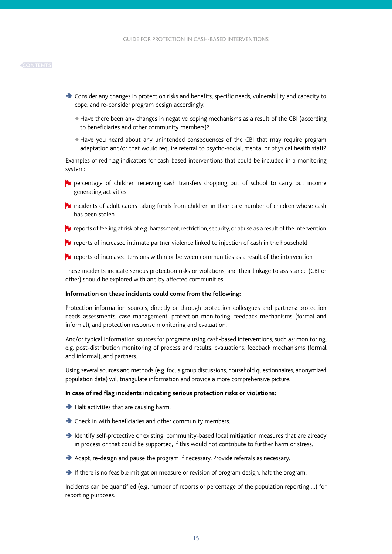- $\rightarrow$  Consider any changes in protection risks and benefits, specific needs, vulnerability and capacity to cope, and re-consider program design accordingly.
	- $\rightarrow$  Have there been any changes in negative coping mechanisms as a result of the CBI (according to beneficiaries and other community members)?
	- <sup>Ä</sup> Have you heard about any unintended consequences of the CBI that may require program adaptation and/or that would require referral to psycho-social, mental or physical health staff?

Examples of red flag indicators for cash-based interventions that could be included in a monitoring system:

- **P** percentage of children receiving cash transfers dropping out of school to carry out income generating activities
- **Journal incidents of adult carers taking funds from children in their care number of children whose cash** has been stolen
- **R** reports of feeling at risk of e.g. harassment, restriction, security, or abuse as a result of the intervention
- **P** reports of increased intimate partner violence linked to injection of cash in the household
- **For** reports of increased tensions within or between communities as a result of the intervention

These incidents indicate serious protection risks or violations, and their linkage to assistance (CBI or other) should be explored with and by affected communities.

#### **Information on these incidents could come from the following:**

Protection information sources, directly or through protection colleagues and partners: protection needs assessments, case management, protection monitoring, feedback mechanisms (formal and informal), and protection response monitoring and evaluation.

And/or typical information sources for programs using cash-based interventions, such as: monitoring, e.g. post-distribution monitoring of process and results, evaluations, feedback mechanisms (formal and informal), and partners.

Using several sources and methods (e.g. focus group discussions, household questionnaires, anonymized population data) will triangulate information and provide a more comprehensive picture.

#### **In case of red flag incidents indicating serious protection risks or violations:**

- $\rightarrow$  Halt activities that are causing harm.
- $\rightarrow$  Check in with beneficiaries and other community members.
- Ä Identify self-protective or existing, community-based local mitigation measures that are already in process or that could be supported, if this would not contribute to further harm or stress.
- $\rightarrow$  Adapt, re-design and pause the program if necessary. Provide referrals as necessary.
- $\rightarrow$  If there is no feasible mitigation measure or revision of program design, halt the program.

Incidents can be quantified (e.g. number of reports or percentage of the population reporting …) for reporting purposes.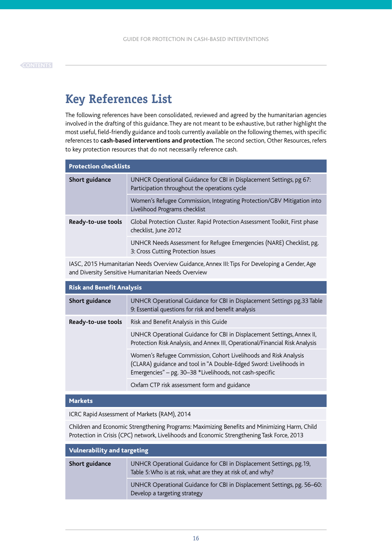# <span id="page-15-0"></span>**Key References List**

The following references have been consolidated, reviewed and agreed by the humanitarian agencies involved in the drafting of this guidance. They are not meant to be exhaustive, but rather highlight the most useful, field-friendly guidance and tools currently available on the following themes, with specific references to **cash-based interventions and protection**. The second section, Other Resources, refers to key protection resources that do not necessarily reference cash.

| <b>Protection checklists</b> |                                                                                                                      |  |  |  |
|------------------------------|----------------------------------------------------------------------------------------------------------------------|--|--|--|
| Short guidance               | UNHCR Operational Guidance for CBI in Displacement Settings, pg 67:<br>Participation throughout the operations cycle |  |  |  |
|                              | Women's Refugee Commission, Integrating Protection/GBV Mitigation into<br>Livelihood Programs checklist              |  |  |  |
| Ready-to-use tools           | Global Protection Cluster. Rapid Protection Assessment Toolkit, First phase<br>checklist, June 2012                  |  |  |  |
|                              | UNHCR Needs Assessment for Refugee Emergencies (NARE) Checklist, pg.<br>3: Cross Cutting Protection Issues           |  |  |  |
|                              |                                                                                                                      |  |  |  |

IASC, 2015 Humanitarian Needs Overview Guidance, Annex III: Tips For Developing a Gender, Age and Diversity Sensitive Humanitarian Needs Overview

| <b>Risk and Benefit Analysis</b> |                                                                                                                                                                                                    |  |  |  |
|----------------------------------|----------------------------------------------------------------------------------------------------------------------------------------------------------------------------------------------------|--|--|--|
| Short guidance                   | UNHCR Operational Guidance for CBI in Displacement Settings pg.33 Table<br>9: Essential questions for risk and benefit analysis                                                                    |  |  |  |
| Ready-to-use tools               | Risk and Benefit Analysis in this Guide                                                                                                                                                            |  |  |  |
|                                  | UNHCR Operational Guidance for CBI in Displacement Settings, Annex II,<br>Protection Risk Analysis, and Annex III, Operational/Financial Risk Analysis                                             |  |  |  |
|                                  | Women's Refugee Commission, Cohort Livelihoods and Risk Analysis<br>(CLARA) guidance and tool in "A Double-Edged Sword: Livelihoods in<br>Emergencies" - pg. 30-38 *Livelihoods, not cash-specific |  |  |  |
|                                  | Oxfam CTP risk assessment form and guidance                                                                                                                                                        |  |  |  |

#### Markets

ICRC Rapid Assessment of Markets (RAM), 2014

Children and Economic Strengthening Programs: Maximizing Benefits and Minimizing Harm, Child Protection in Crisis (CPC) network, Livelihoods and Economic Strengthening Task Force, 2013

| <b>Vulnerability and targeting</b> |                                                                                                                                    |  |  |
|------------------------------------|------------------------------------------------------------------------------------------------------------------------------------|--|--|
| Short guidance                     | UNHCR Operational Guidance for CBI in Displacement Settings, pg.19,<br>Table 5: Who is at risk, what are they at risk of, and why? |  |  |
|                                    | UNHCR Operational Guidance for CBI in Displacement Settings, pg. 56–60:<br>Develop a targeting strategy                            |  |  |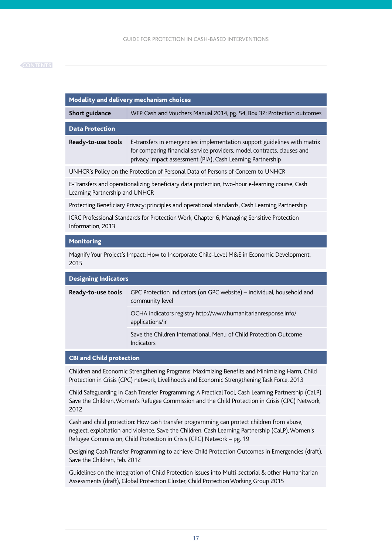#### **[CONTENTS](#page-2-0)**

| Modality and delivery mechanism choices                                                                                          |                                                                                                                                                                                                                    |  |  |  |
|----------------------------------------------------------------------------------------------------------------------------------|--------------------------------------------------------------------------------------------------------------------------------------------------------------------------------------------------------------------|--|--|--|
| Short guidance                                                                                                                   | WFP Cash and Vouchers Manual 2014, pg. 54, Box 32: Protection outcomes                                                                                                                                             |  |  |  |
| <b>Data Protection</b>                                                                                                           |                                                                                                                                                                                                                    |  |  |  |
| Ready-to-use tools                                                                                                               | E-transfers in emergencies: implementation support guidelines with matrix<br>for comparing financial service providers, model contracts, clauses and<br>privacy impact assessment (PIA), Cash Learning Partnership |  |  |  |
| UNHCR's Policy on the Protection of Personal Data of Persons of Concern to UNHCR                                                 |                                                                                                                                                                                                                    |  |  |  |
| E-Transfers and operationalizing beneficiary data protection, two-hour e-learning course, Cash<br>Learning Partnership and UNHCR |                                                                                                                                                                                                                    |  |  |  |
| Protecting Beneficiary Privacy: principles and operational standards, Cash Learning Partnership                                  |                                                                                                                                                                                                                    |  |  |  |
| ICRC Professional Standards for Protection Work, Chapter 6, Managing Sensitive Protection<br>Information, 2013                   |                                                                                                                                                                                                                    |  |  |  |
| <b>Monitoring</b>                                                                                                                |                                                                                                                                                                                                                    |  |  |  |

Magnify Your Project's Impact: How to Incorporate Child-Level M&E in Economic Development, 2015

| <b>Designing Indicators</b> |                                                                                           |  |  |  |
|-----------------------------|-------------------------------------------------------------------------------------------|--|--|--|
| Ready-to-use tools          | GPC Protection Indicators (on GPC website) – individual, household and<br>community level |  |  |  |
|                             | OCHA indicators registry http://www.humanitarianresponse.info/<br>applications/ir         |  |  |  |
|                             | Save the Children International, Menu of Child Protection Outcome<br>Indicators           |  |  |  |

#### CBI and Child protection

Children and Economic Strengthening Programs: Maximizing Benefits and Minimizing Harm, Child Protection in Crisis (CPC) network, Livelihoods and Economic Strengthening Task Force, 2013

Child Safeguarding in Cash Transfer Programming: A Practical Tool, Cash Learning Partnership (CaLP), Save the Children, Women's Refugee Commission and the Child Protection in Crisis (CPC) Network, 2012

Cash and child protection: How cash transfer programming can protect children from abuse, neglect, exploitation and violence, Save the Children, Cash Learning Partnership (CaLP), Women's Refugee Commission, Child Protection in Crisis (CPC) Network – pg. 19

Designing Cash Transfer Programming to achieve Child Protection Outcomes in Emergencies (draft), Save the Children, Feb. 2012

Guidelines on the Integration of Child Protection issues into Multi-sectorial & other Humanitarian Assessments (draft), Global Protection Cluster, Child Protection Working Group 2015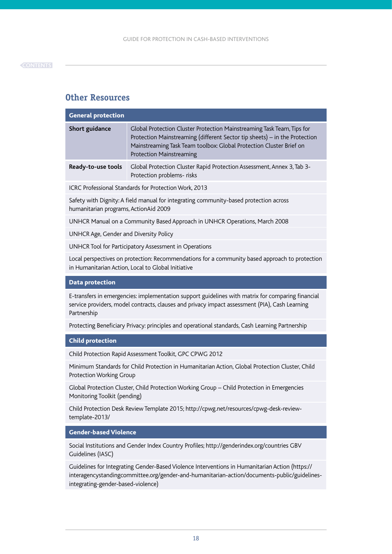## **Other Resources**

| <b>General protection</b> |                                                                                                                                                                                                                                                                |
|---------------------------|----------------------------------------------------------------------------------------------------------------------------------------------------------------------------------------------------------------------------------------------------------------|
| Short guidance            | Global Protection Cluster Protection Mainstreaming Task Team, Tips for<br>Protection Mainstreaming (different Sector tip sheets) – in the Protection<br>Mainstreaming Task Team toolbox: Global Protection Cluster Brief on<br><b>Protection Mainstreaming</b> |
| Ready-to-use tools        | Global Protection Cluster Rapid Protection Assessment, Annex 3, Tab 3-<br>Protection problems- risks                                                                                                                                                           |

ICRC Professional Standards for Protection Work, 2013

Safety with Dignity: A field manual for integrating community-based protection across humanitarian programs, ActionAid 2009

UNHCR Manual on a Community Based Approach in UNHCR Operations, March 2008

UNHCR Age, Gender and Diversity Policy

UNHCR Tool for Participatory Assessment in Operations

Local perspectives on protection: Recommendations for a community based approach to protection in Humanitarian Action, Local to Global Initiative

#### Data protection

E-transfers in emergencies: implementation support guidelines with matrix for comparing financial service providers, model contracts, clauses and privacy impact assessment (PIA), Cash Learning Partnership

Protecting Beneficiary Privacy: principles and operational standards, Cash Learning Partnership

#### Child protection

Child Protection Rapid Assessment Toolkit, GPC CPWG 2012

Minimum Standards for Child Protection in Humanitarian Action, Global Protection Cluster, Child Protection Working Group

Global Protection Cluster, Child Protection Working Group – Child Protection in Emergencies Monitoring Toolkit (pending)

Child Protection Desk Review Template 2015; http://cpwg.net/resources/cpwg-desk-reviewtemplate-2013/

#### Gender-based Violence

Social Institutions and Gender Index Country Profiles; http://genderindex.org/countries GBV Guidelines (IASC)

Guidelines for Integrating Gender-Based Violence Interventions in Humanitarian Action (https:// interagencystandingcommittee.org/gender-and-humanitarian-action/documents-public/guidelinesintegrating-gender-based-violence)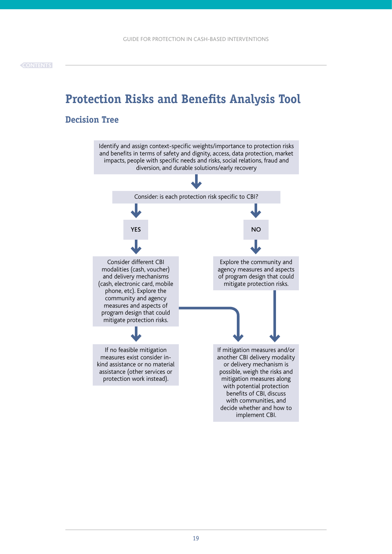# <span id="page-18-0"></span>**Protection Risks and Benefits Analysis Tool**

### **Decision Tree**



implement CBI.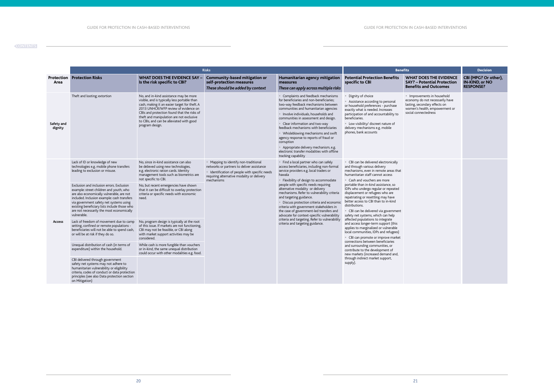|                       | <b>Risks</b>                                                                                                                                                                                                                                                                                                                            |                                                                                                                                                                                                                                                                                                                                           |                                                                                                                                                                                                   |                                                                                                                                                                                                                                                                                                                                                                                                                                                                                                                                                                                                                     | <b>Benefits</b>                                                                                                                                                                                                                                                                                                                                                                                                                                                                                                                                                                                                                                          |                                                                                                                                                           | <b>Decision</b>                                                   |
|-----------------------|-----------------------------------------------------------------------------------------------------------------------------------------------------------------------------------------------------------------------------------------------------------------------------------------------------------------------------------------|-------------------------------------------------------------------------------------------------------------------------------------------------------------------------------------------------------------------------------------------------------------------------------------------------------------------------------------------|---------------------------------------------------------------------------------------------------------------------------------------------------------------------------------------------------|---------------------------------------------------------------------------------------------------------------------------------------------------------------------------------------------------------------------------------------------------------------------------------------------------------------------------------------------------------------------------------------------------------------------------------------------------------------------------------------------------------------------------------------------------------------------------------------------------------------------|----------------------------------------------------------------------------------------------------------------------------------------------------------------------------------------------------------------------------------------------------------------------------------------------------------------------------------------------------------------------------------------------------------------------------------------------------------------------------------------------------------------------------------------------------------------------------------------------------------------------------------------------------------|-----------------------------------------------------------------------------------------------------------------------------------------------------------|-------------------------------------------------------------------|
| Protection<br>Area    | <b>Protection Risks</b>                                                                                                                                                                                                                                                                                                                 | <b>WHAT DOES THE EVIDENCE SAY -</b><br>Is the risk specific to CBI?                                                                                                                                                                                                                                                                       | <b>Community-based mitigation or</b><br>self-protection measures<br>These should be added by context                                                                                              | Humanitarian agency mitigation<br>measures<br>These can apply across multiple risks                                                                                                                                                                                                                                                                                                                                                                                                                                                                                                                                 | <b>Potential Protection Benefits</b><br>specific to CBI                                                                                                                                                                                                                                                                                                                                                                                                                                                                                                                                                                                                  | <b>WHAT DOES THE EVIDENCE</b><br><b>SAY? - Potential Protection</b><br><b>Benefits and Outcomes</b>                                                       | CBI (MPG? Or other),<br><b>IN-KIND, or NO</b><br><b>RESPONSE?</b> |
| Safety and<br>dignity | Theft and looting; extortion                                                                                                                                                                                                                                                                                                            | No, and in-kind assistance may be more<br>visible, and is typically less portable than<br>cash, making it an easier target for theft. A<br>2013 UNHCR/WFP review of evidence on<br>CBIs and protection found that the risks of<br>theft and manipulation are not exclusive<br>to CBIs, and can be alleviated with good<br>program design. |                                                                                                                                                                                                   | • Complaints and feedback mechanisms<br>for beneficiaries and non-beneficiaries;<br>two-way feedback mechanisms between<br>communities and humanitarian agencies<br>• Involve individuals, households and<br>communities in assessment and design.<br>• Clear information and two-way<br>feedback mechanisms with beneficiaries<br>• Whisleblowing mechanisms and swift<br>agency response to reports of fraud or<br>corruption<br>• Appropriate delivery mechanism, e.g.<br>electronic transfer modalities with offline<br>tracking capability                                                                     | Dignity of choice<br>• Assistance according to personal<br>or household preferences - purchase<br>exactly what is needed. Increases<br>participation of and accountability to<br>beneficiaries.<br>• Low visibility/ discreet nature of<br>delivery mechanisms e.g. mobile<br>phones, bank accounts                                                                                                                                                                                                                                                                                                                                                      | • Improvements in household<br>economy do not necessarily have<br>lasting, secondary effects on<br>women's health, empowerment or<br>social connectedness |                                                                   |
| <b>Access</b>         | Lack of ID or knowledge of new<br>technologies e.g. mobile phone transfers<br>leading to exclusion or misuse.                                                                                                                                                                                                                           | No, since in-kind assistance can also<br>be delieved using new technologies,<br>e.g. electronic ration cards. Identity<br>management tools such as biometrics are<br>not specific to CBI.                                                                                                                                                 | • Mapping to identify non-traditional<br>networks or partners to deliver assistance<br>• Identification of people with specific needs<br>requiring alternative modality or delivery<br>mechanisms | • Find a local partner who can safely<br>access beneficiaries, including non-formal<br>service providers e.g. local traders or<br>hawala<br>• Flexibility of design to accommodate<br>people with specific needs requiring<br>alternative modality or delivery<br>mechanisms. Refer to vulnerability criteria<br>and targeting guidance.<br>• Discuss protection criteria and economic<br>criteria with government stakeholders in<br>the case of government-led transfers and<br>advocate for context-specific vulnerability<br>criteria and targeting. Refer to vulnerability<br>criteria and targeting guidance. | • CBI can be delivered electronically<br>and through various delivery<br>mechanisms, even in remote areas that<br>humanitarian staff cannot access<br>• Cash and vouchers are more                                                                                                                                                                                                                                                                                                                                                                                                                                                                       |                                                                                                                                                           |                                                                   |
|                       | Exclusion and inclusion errors. Exclusion<br>example: street children and youth, who<br>are also economically vulnerable, are not<br>included. Inclusion example: cash transfers<br>via government safety net systems using<br>existing beneficiary lists include those who<br>are not necessarily the most economically<br>vulnerable. | No, but recent emergencies have shown<br>that it can be difficult to overlay protection<br>criteria or specific needs with economic<br>need.                                                                                                                                                                                              |                                                                                                                                                                                                   |                                                                                                                                                                                                                                                                                                                                                                                                                                                                                                                                                                                                                     | portable than in-kind assistance, so<br>IDPs who undergo regular or repeated<br>displacement or refugees who are<br>repatriating or resettling may have<br>better access to CBI than to in-kind<br>distributions.<br>• CBI can be delivered via government<br>safety net systems, which can help<br>affected populations to integrate<br>and access longer-term support (this<br>applies to marginalized or vulnerable<br>local communities, IDPs and refugees)<br>• CBI can promote or improve market<br>connections between beneficiaries<br>and surrounding communities, or<br>contribute to the development of<br>new markets (increased demand and, |                                                                                                                                                           |                                                                   |
|                       | Lack of freedom of movement due to camp<br>setting, confined or remote populations -<br>beneficiaries will not be able to spend cash,<br>or will be at risk if they do so.                                                                                                                                                              | No, program design is typically at the root<br>of this issue. If markets are not functioning,<br>CBI may not be feasible, or CBI along<br>with market support activities may be<br>considered.                                                                                                                                            |                                                                                                                                                                                                   |                                                                                                                                                                                                                                                                                                                                                                                                                                                                                                                                                                                                                     |                                                                                                                                                                                                                                                                                                                                                                                                                                                                                                                                                                                                                                                          |                                                                                                                                                           |                                                                   |
|                       | Unequal distribution of cash (in terms of<br>expenditure) within the household.                                                                                                                                                                                                                                                         | While cash is more fungible than vouchers<br>or in-kind, the same unequal distribution<br>could occur with other modalities e.g. food.                                                                                                                                                                                                    |                                                                                                                                                                                                   |                                                                                                                                                                                                                                                                                                                                                                                                                                                                                                                                                                                                                     |                                                                                                                                                                                                                                                                                                                                                                                                                                                                                                                                                                                                                                                          |                                                                                                                                                           |                                                                   |
|                       | CBI delivered through government<br>safety net systems may not adhere to<br>humanitarian vulnerability or eligibility<br>criteria, codes of conduct or data protection<br>principles (see also Data protection section<br>on Mitigation)                                                                                                |                                                                                                                                                                                                                                                                                                                                           |                                                                                                                                                                                                   |                                                                                                                                                                                                                                                                                                                                                                                                                                                                                                                                                                                                                     | through indirect market support,<br>supply).                                                                                                                                                                                                                                                                                                                                                                                                                                                                                                                                                                                                             |                                                                                                                                                           |                                                                   |

#### **[CONTENTS](#page-2-0)**

 $\sim$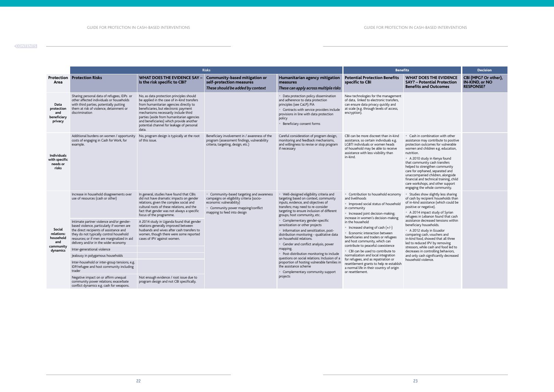| its                                                                                                                                                                                                                                                                                                                                                                                                                                                                                                                                                                          | <b>Decision</b>                                                   |
|------------------------------------------------------------------------------------------------------------------------------------------------------------------------------------------------------------------------------------------------------------------------------------------------------------------------------------------------------------------------------------------------------------------------------------------------------------------------------------------------------------------------------------------------------------------------------|-------------------------------------------------------------------|
| <b>WHAT DOES THE EVIDENCE</b><br><b>SAY? - Potential Protection</b><br><b>Benefits and Outcomes</b>                                                                                                                                                                                                                                                                                                                                                                                                                                                                          | CBI (MPG? Or other),<br><b>IN-KIND, or NO</b><br><b>RESPONSE?</b> |
|                                                                                                                                                                                                                                                                                                                                                                                                                                                                                                                                                                              |                                                                   |
| Cash in combination with other<br>assistance may contribute to positive<br>protection outcomes for vulnerable<br>women and children e.g. education,<br>nutrition.<br>A 2010 study in Kenya found<br>that community cash transfers<br>helped to strengthen community<br>care for orphaned, separated and<br>unaccompanied children, alongside<br>financial and technical training, child<br>care workshops, and other support<br>engaging the whole community.                                                                                                                |                                                                   |
| Studies show slightly less sharing<br>of cash by recipient households than<br>of in-kind assistance (which could be<br>positive or negative).<br>A 2014 impact study of Syrian<br>refugees in Lebanon found that cash<br>assistance decreased tensions within<br>beneficiary households.<br>A 2012 study in Ecuador<br>comparing cash, vouchers and<br>in-kind food, showed that all three<br>led to reduced IPV by removing<br>stressors, while cash and food led to<br>decreases in controlling behaviors,<br>and only cash significantly decreased<br>household violence. |                                                                   |

|                                                          | <b>Risks</b>                                                                                                                                                                                                            |                                                                                                                                                                                                                                                                                                                                                                   |                                                                                                                                    |                                                                                                                                                                                                                                            | <b>Benefits</b>                                                                                                                                                                                                                                                                                                  |                                                                                                                                                                                                                                                                                                                                                                                                                                                                   | <b>Decision</b>                                                                                                                                                                                                                                                                              |  |
|----------------------------------------------------------|-------------------------------------------------------------------------------------------------------------------------------------------------------------------------------------------------------------------------|-------------------------------------------------------------------------------------------------------------------------------------------------------------------------------------------------------------------------------------------------------------------------------------------------------------------------------------------------------------------|------------------------------------------------------------------------------------------------------------------------------------|--------------------------------------------------------------------------------------------------------------------------------------------------------------------------------------------------------------------------------------------|------------------------------------------------------------------------------------------------------------------------------------------------------------------------------------------------------------------------------------------------------------------------------------------------------------------|-------------------------------------------------------------------------------------------------------------------------------------------------------------------------------------------------------------------------------------------------------------------------------------------------------------------------------------------------------------------------------------------------------------------------------------------------------------------|----------------------------------------------------------------------------------------------------------------------------------------------------------------------------------------------------------------------------------------------------------------------------------------------|--|
| Area                                                     | <b>Protection Protection Risks</b>                                                                                                                                                                                      | <b>WHAT DOES THE EVIDENCE SAY</b><br>Is the risk specific to CBI?                                                                                                                                                                                                                                                                                                 | <b>Community-based mitigation or</b><br>self-protection measures<br>These should be added by context                               | Humanitarian agency mitigation<br>measures<br>These can apply across multiple risks                                                                                                                                                        | <b>Potential Protection Benefits</b><br>specific to CBI                                                                                                                                                                                                                                                          | <b>WHAT DOES THE EVIDENCE</b><br><b>SAY? - Potential Protection</b><br><b>Benefits and Outcomes</b>                                                                                                                                                                                                                                                                                                                                                               | CBI (MPG? Or o<br>IN-KIND, or NC<br><b>RESPONSE?</b>                                                                                                                                                                                                                                         |  |
| Data<br>protection<br>and<br>beneficiary<br>privacy      | Sharing personal data of refugees, IDPs or<br>other affected individuals or households<br>with third parties, potentially putting<br>them at risk of violence, detainment or<br>discrimination                          | No, as data protection principles should<br>be applied in the case of in-kind transfers<br>from humanitarian agencies directly to<br>beneficiaries, but electronic payment<br>mechanisms necessarily include third<br>parties (aside from humanitarian agencies<br>and beneficiaries) which provide another<br>potential channel for leakage of personal<br>data. |                                                                                                                                    | • Data protection policy dissemination<br>and adherence to data protection<br>principles (see CaLP); PIA<br>• Contracts with service providers include<br>provisions in line with data protection<br>policy<br>• Beneficiary consent forms | New technologies for the management<br>of data, linked to electronic transfers,<br>can ensure data privacy quickly and<br>at scale (e.g. through levels of access,<br>encryption).                                                                                                                               |                                                                                                                                                                                                                                                                                                                                                                                                                                                                   |                                                                                                                                                                                                                                                                                              |  |
| <b>Individuals</b><br>with specific<br>needs or<br>risks | Additional burdens on women / opportunity<br>costs of engaging in Cash for Work, for<br>example.                                                                                                                        | No, program design is typically at the root<br>of this issue.                                                                                                                                                                                                                                                                                                     | Beneficiary involvement in / awareness of the<br>program (assessment findings, vulnerability<br>criteria, targeting, design, etc.) | Careful consideration of program design,<br>monitoring and feedback mechanisms,<br>and willingness to revise or stop program<br>if necessary                                                                                               | CBI can be more discreet than in-kind<br>assistance, so certain individuals e.g.<br>LGBTI individuals or women heads<br>of household may be able to receive<br>assistance with less visibility than<br>in-kind.                                                                                                  | • Cash in combination with other<br>assistance may contribute to positive<br>protection outcomes for vulnerable<br>women and children e.g. education,<br>nutrition.<br>• A 2010 study in Kenya found<br>that community cash transfers<br>helped to strengthen community<br>care for orphaned, separated and<br>unaccompanied children, alongside<br>financial and technical training, child<br>care workshops, and other support<br>engaging the whole community. |                                                                                                                                                                                                                                                                                              |  |
| Social<br>relations:<br>household<br>and                 | Increase in household disagreements over<br>use of resources (cash or other)<br>Intimate partner violence and/or gender-                                                                                                | In general, studies have found that CBIs<br>did not have dramatic impacts on gender<br>relations, given the complex social and<br>cultural roots of these relations, and the<br>fact that gender was not always a specific<br>focus of the programme.<br>A 2014 study in Uganda found that gender                                                                 |                                                                                                                                    | • Community-based targeting and awareness<br>campaigns on eligibility criteria (socio-<br>economic vulnerability)<br>• Community power mapping/conflict<br>mapping to feed into design                                                     | Well-designed eligibility criteria and<br>targeting based on context, community<br>inputs, evidence, and objectives of<br>transfers; may need to re-consider<br>targeting to ensure inclusion of different<br>groups, host community, etc.<br>• Complementary gender-specific<br>sensitization or other projects | • Contribution to household economy<br>and livelihoods<br>· Improved social status of household<br>in community<br>• Increased joint decision-making;<br>increase in women's decision-making<br>in the household                                                                                                                                                                                                                                                  | • Studies show slightly less sharing<br>of cash by recipient households than<br>of in-kind assistance (which could be<br>positive or negative).<br>• A 2014 impact study of Syrian<br>refugees in Lebanon found that cash<br>assistance decreased tensions within<br>beneficiary households. |  |
|                                                          | based violence, particularly if women are<br>the direct recipients of assistance and<br>they do not typically control household<br>resources; or if men are marginalized in aid<br>delivery and/or in the wider economy | relations generally improved between<br>husbands and wives after cash transfers to<br>women, though there were some reported<br>cases of IPV against women.                                                                                                                                                                                                       |                                                                                                                                    | • Information and sensitization, post-<br>distribution monitoring - qualitative data<br>on household relations.<br>• Gender and conflict analysis, power                                                                                   | • Increased sharing of cash $(+/-)$<br><b>Economic interaction between</b><br>beneficiaries and traders or refugees<br>and host community, which can<br>contribute to peaceful coexistence<br>• CBI can be used to contribute to                                                                                 | • A 2012 study in Ecuador<br>comparing cash, vouchers and<br>in-kind food, showed that all three<br>led to reduced IPV by removing                                                                                                                                                                                                                                                                                                                                |                                                                                                                                                                                                                                                                                              |  |
| community<br>dynamics                                    | Inter-generational violence                                                                                                                                                                                             |                                                                                                                                                                                                                                                                                                                                                                   |                                                                                                                                    | mapping.                                                                                                                                                                                                                                   |                                                                                                                                                                                                                                                                                                                  | stressors, while cash and food led to<br>decreases in controlling behaviors,                                                                                                                                                                                                                                                                                                                                                                                      |                                                                                                                                                                                                                                                                                              |  |
|                                                          | Jealousy in polygamous households                                                                                                                                                                                       |                                                                                                                                                                                                                                                                                                                                                                   |                                                                                                                                    | • Post-distribution monitoring to include<br>questions on social relations. Inclusion of a                                                                                                                                                 | normalization and local integration<br>for refugees, and as repatriation or                                                                                                                                                                                                                                      | and only cash significantly decreased                                                                                                                                                                                                                                                                                                                                                                                                                             |                                                                                                                                                                                                                                                                                              |  |
|                                                          | Inter-household or inter-group tensions, e.g.<br>IDP/refugee and host community including<br>trader                                                                                                                     |                                                                                                                                                                                                                                                                                                                                                                   |                                                                                                                                    | proportion of hosting vulnerable families in<br>the assistance scheme<br>• Complementary community support                                                                                                                                 | resettlement grants to help re-establish<br>a normal life in their country of origin<br>or resettlement.                                                                                                                                                                                                         | household violence.                                                                                                                                                                                                                                                                                                                                                                                                                                               |                                                                                                                                                                                                                                                                                              |  |
|                                                          | Negative impact on or affirm unequal<br>community power relations; exacerbate<br>conflict dynamics e.g. cash for weapons.                                                                                               | Not enough evidence / root issue due to<br>program design and not CBI specifically.                                                                                                                                                                                                                                                                               |                                                                                                                                    | projects                                                                                                                                                                                                                                   |                                                                                                                                                                                                                                                                                                                  |                                                                                                                                                                                                                                                                                                                                                                                                                                                                   |                                                                                                                                                                                                                                                                                              |  |

#### **[CONTENTS](#page-2-0)**

 $\overline{\phantom{a}}$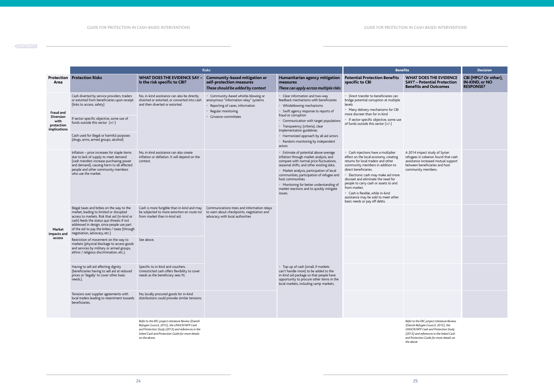| its                                                                                                                                                                 | <b>Decision</b>                                            |
|---------------------------------------------------------------------------------------------------------------------------------------------------------------------|------------------------------------------------------------|
| <b>WHAT DOES THE EVIDENCE</b><br><b>SAY?</b> - Potential Protection<br><b>Benefits and Outcomes</b>                                                                 | CBI (MPG? Or other),<br>IN-KIND, or NO<br><b>RESPONSE?</b> |
|                                                                                                                                                                     |                                                            |
|                                                                                                                                                                     |                                                            |
|                                                                                                                                                                     |                                                            |
|                                                                                                                                                                     |                                                            |
| A 2014 impact study of Syrian<br>refugees in Lebanon found that cash<br>assistance increased mutual support<br>between beneficiaries and host<br>community members. |                                                            |
|                                                                                                                                                                     |                                                            |
|                                                                                                                                                                     |                                                            |
|                                                                                                                                                                     |                                                            |
|                                                                                                                                                                     |                                                            |
|                                                                                                                                                                     |                                                            |
|                                                                                                                                                                     |                                                            |
|                                                                                                                                                                     |                                                            |
|                                                                                                                                                                     |                                                            |
|                                                                                                                                                                     |                                                            |
|                                                                                                                                                                     |                                                            |

|                                                                     |                                                                                                                                                                                                                                                                                                                   | <b>Risks</b>                                                                                                                                                                                                                |                                                                                                                                                             |                                                                                                                                                                                                                                                                                                                                                                                                                                                                                                                                                                                                            |                                                                                                                                                                                                                                                                                                                                                                                                                                       | <b>Benefits</b>                                                                                                                                                                                                                |                                                      |  |
|---------------------------------------------------------------------|-------------------------------------------------------------------------------------------------------------------------------------------------------------------------------------------------------------------------------------------------------------------------------------------------------------------|-----------------------------------------------------------------------------------------------------------------------------------------------------------------------------------------------------------------------------|-------------------------------------------------------------------------------------------------------------------------------------------------------------|------------------------------------------------------------------------------------------------------------------------------------------------------------------------------------------------------------------------------------------------------------------------------------------------------------------------------------------------------------------------------------------------------------------------------------------------------------------------------------------------------------------------------------------------------------------------------------------------------------|---------------------------------------------------------------------------------------------------------------------------------------------------------------------------------------------------------------------------------------------------------------------------------------------------------------------------------------------------------------------------------------------------------------------------------------|--------------------------------------------------------------------------------------------------------------------------------------------------------------------------------------------------------------------------------|------------------------------------------------------|--|
| Area                                                                | <b>Protection Protection Risks</b>                                                                                                                                                                                                                                                                                | <b>WHAT DOES THE EVIDENCE SAY</b><br>Is the risk specific to CBI?                                                                                                                                                           | <b>Community-based mitigation or</b><br>self-protection measures<br>These should be added by context                                                        | Humanitarian agency mitigation<br>measures<br>These can apply across multiple risks                                                                                                                                                                                                                                                                                                                                                                                                                                                                                                                        | <b>Potential Protection Benefits</b><br>specific to CBI                                                                                                                                                                                                                                                                                                                                                                               | <b>WHAT DOES THE EVIDENCE</b><br><b>SAY? - Potential Protection</b><br><b>Benefits and Outcomes</b>                                                                                                                            | CBI (MPG? Or o<br>IN-KIND, or NC<br><b>RESPONSE?</b> |  |
| Fraud and<br><b>Diversion</b><br>with<br>protection<br>implications | Cash diverted by service providers, traders<br>or extorted from beneficiaries upon receipt<br>(links to access, safety)                                                                                                                                                                                           | No, in-kind assistance can also be directly<br>diverted or extorted, or converted into cash<br>and then diverted or extorted.                                                                                               | Community-based whistle-blowing or<br>anonymous "information relay" systems<br>Reporting of cases, information<br>Regular monitoring<br>Grivance committees | • Clear information and two-way<br>feedback mechanisms with beneficiaries<br>• Whisleblowing mechanisms<br>• Swift agency response to reports of                                                                                                                                                                                                                                                                                                                                                                                                                                                           | • Direct transfer to beneficiaries can<br>bridge potential corruption at multiple<br>levels<br>• Many delivery mechanisms for CBI<br>more discreet than for in-kind                                                                                                                                                                                                                                                                   |                                                                                                                                                                                                                                |                                                      |  |
|                                                                     | If sector-specific objective, some use of<br>funds outside this sector $(+/-)$                                                                                                                                                                                                                                    |                                                                                                                                                                                                                             |                                                                                                                                                             | fraud or corruption<br>• Communication with target populations<br><b>Transparency (criteria), clear</b><br>Implementation guidelines<br>• Harmonized approach by all aid actors<br>• Random monitoring by independent<br>actors                                                                                                                                                                                                                                                                                                                                                                            | • If sector-specific objective, some use<br>of funds outside this sector $(+/-)$                                                                                                                                                                                                                                                                                                                                                      |                                                                                                                                                                                                                                |                                                      |  |
|                                                                     | Cash used for illegal or harmful purposes<br>(drugs, arms, armed groups, alcohol)                                                                                                                                                                                                                                 |                                                                                                                                                                                                                             |                                                                                                                                                             |                                                                                                                                                                                                                                                                                                                                                                                                                                                                                                                                                                                                            |                                                                                                                                                                                                                                                                                                                                                                                                                                       |                                                                                                                                                                                                                                |                                                      |  |
| Market<br>impacts and<br>access                                     | Inflation - price increases for staple items<br>due to lack of supply to meet demand<br>(cash transfers increase purchasing power<br>and demand), causing harm to all affected<br>people and other community members<br>who use the market.                                                                       | No, in-kind assistance can also create<br>inflation or deflation. It will depend on the<br>context.                                                                                                                         |                                                                                                                                                             | • Estimate of potential above-average<br>inflation through market analysis, and<br>compare with normal price fluctuations,<br>seasonal shifts, and other existing data.<br>• Market analysis, participation of local<br>communities, participation of refugee and<br>host communities<br>• Monitoring for better understanding of<br>market reactions and to quickly mitigate<br>issues.<br>• Top-up of cash (small, if markets<br>can't handle more) to be added to the<br>in-kind aid package so that people have<br>opportunity to procure other items in the<br>local markets, including camp markets. | • Cash injections have a multiplier<br>effect on the local economy, creating<br>returns for local traders and other<br>community members in addition to<br>direct beneficiaries.<br>· Electronic cash may make aid more<br>discreet and eliminate the need for<br>people to carry cash or assets to and<br>from market.<br>• Cash is flexible, while in-kind<br>assistance may be sold to meet other<br>basic needs or pay off debts. | A 2014 impact study of Syrian<br>refugees in Lebanon found that cash<br>assistance increased mutual support<br>between beneficiaries and host<br>community members.                                                            |                                                      |  |
|                                                                     | Illegal taxes and bribes on the way to the<br>market, leading to limited or disrupted<br>access to markets. Risk that aid (in-kind or<br>cash) feeds the status quo threats if not<br>addressed in design, since people use part<br>of the aid to pay the bribes / taxes (through<br>negotiation, advocacy, etc.) | Cash is more fungible than in-kind and may<br>be subjected to more extortion en route to/<br>from market than in-kind aid.                                                                                                  | Communications trees and information relays<br>to warn about checkpoints, negotiation and<br>advocacy with local authorities                                |                                                                                                                                                                                                                                                                                                                                                                                                                                                                                                                                                                                                            |                                                                                                                                                                                                                                                                                                                                                                                                                                       |                                                                                                                                                                                                                                |                                                      |  |
|                                                                     | Restriction of movement on the way to<br>markets (physical blockage to access goods<br>and services by military or armed groups,<br>ethnic / religious discrimination, etc.).                                                                                                                                     | See above.                                                                                                                                                                                                                  |                                                                                                                                                             |                                                                                                                                                                                                                                                                                                                                                                                                                                                                                                                                                                                                            |                                                                                                                                                                                                                                                                                                                                                                                                                                       |                                                                                                                                                                                                                                |                                                      |  |
|                                                                     | Having to sell aid affecting dignity<br>(beneficiaries having to sell aid at reduced<br>prices or 'ilegally' to cover other basic<br>needs.).                                                                                                                                                                     | Specific to in-kind and vouchers.<br>Unrestricted cash offers flexibility to cover<br>needs as the beneficiary sees fit.                                                                                                    |                                                                                                                                                             |                                                                                                                                                                                                                                                                                                                                                                                                                                                                                                                                                                                                            |                                                                                                                                                                                                                                                                                                                                                                                                                                       |                                                                                                                                                                                                                                |                                                      |  |
|                                                                     | Tensions over supplier agreements with<br>local traders leading to resentment towards<br>beneficiaries.                                                                                                                                                                                                           | No, locally procured goods for in-kind<br>distributions could provoke similar tensions.                                                                                                                                     |                                                                                                                                                             |                                                                                                                                                                                                                                                                                                                                                                                                                                                                                                                                                                                                            |                                                                                                                                                                                                                                                                                                                                                                                                                                       |                                                                                                                                                                                                                                |                                                      |  |
|                                                                     |                                                                                                                                                                                                                                                                                                                   | Refer to the ERC project Literature Review (Danish<br>Refugee Council, 2015), the UNHCR/WFP Cash<br>and Protection Study (2013) and references in the<br>linked Cash and Protection Guide for more details<br>on the above. |                                                                                                                                                             |                                                                                                                                                                                                                                                                                                                                                                                                                                                                                                                                                                                                            |                                                                                                                                                                                                                                                                                                                                                                                                                                       | Refer to the ERC project Literature Review<br>(Danish Refugee Council, 2015), the<br>UNHCR/WFP Cash and Protection Study<br>(2013) and references in the linked Cash<br>and Protection Guide for more details on<br>the above. |                                                      |  |

#### **[CONTENTS](#page-2-0)**

 $\sim$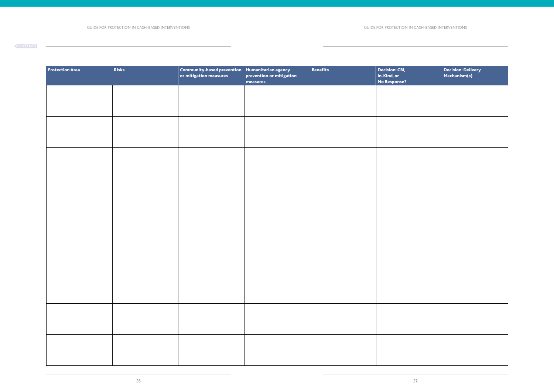| <b>Protection Area</b> | Risks | $\begin{array}{ c } \hline \textbf{Commanity-based prevention} & \textbf{Humanitarian agency} \ \hline \textbf{or mitigation measures} & \textbf{prevention or mitigation} \end{array}$ | measures | $\vert$ Benefits | Decision: CBI,<br>In-Kind, or<br>No Response? | $\begin{array}{ l } \textsf{Decision:Delta} \\ \textsf{Mechanism(s)} \end{array}$ |
|------------------------|-------|-----------------------------------------------------------------------------------------------------------------------------------------------------------------------------------------|----------|------------------|-----------------------------------------------|-----------------------------------------------------------------------------------|
|                        |       |                                                                                                                                                                                         |          |                  |                                               |                                                                                   |
|                        |       |                                                                                                                                                                                         |          |                  |                                               |                                                                                   |
|                        |       |                                                                                                                                                                                         |          |                  |                                               |                                                                                   |
|                        |       |                                                                                                                                                                                         |          |                  |                                               |                                                                                   |
|                        |       |                                                                                                                                                                                         |          |                  |                                               |                                                                                   |
|                        |       |                                                                                                                                                                                         |          |                  |                                               |                                                                                   |
|                        |       |                                                                                                                                                                                         |          |                  |                                               |                                                                                   |
|                        |       |                                                                                                                                                                                         |          |                  |                                               |                                                                                   |
|                        |       |                                                                                                                                                                                         |          |                  |                                               |                                                                                   |
|                        |       |                                                                                                                                                                                         |          |                  |                                               |                                                                                   |
|                        |       |                                                                                                                                                                                         |          |                  |                                               |                                                                                   |
|                        |       |                                                                                                                                                                                         |          |                  |                                               |                                                                                   |
|                        |       |                                                                                                                                                                                         |          |                  |                                               |                                                                                   |
|                        |       |                                                                                                                                                                                         |          |                  |                                               |                                                                                   |
|                        |       |                                                                                                                                                                                         |          |                  |                                               |                                                                                   |
|                        |       |                                                                                                                                                                                         |          |                  |                                               |                                                                                   |
|                        |       |                                                                                                                                                                                         |          |                  |                                               |                                                                                   |
|                        |       |                                                                                                                                                                                         |          |                  |                                               |                                                                                   |

#### **[CONTENTS](#page-2-0)**

 $\overline{\phantom{a}}$